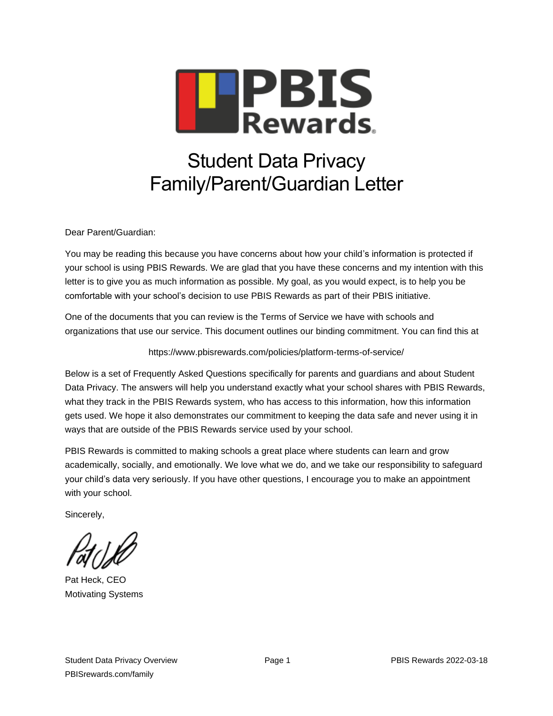

# Student Data Privacy Family/Parent/Guardian Letter

Dear Parent/Guardian:

You may be reading this because you have concerns about how your child's information is protected if your school is using PBIS Rewards. We are glad that you have these concerns and my intention with this letter is to give you as much information as possible. My goal, as you would expect, is to help you be comfortable with your school's decision to use PBIS Rewards as part of their PBIS initiative.

One of the documents that you can review is the Terms of Service we have with schools and organizations that use our service. This document outlines our binding commitment. You can find this at

#### https://www.pbisrewards.com/policies/platform-terms-of-service/

Below is a set of Frequently Asked Questions specifically for parents and guardians and about Student Data Privacy. The answers will help you understand exactly what your school shares with PBIS Rewards, what they track in the PBIS Rewards system, who has access to this information, how this information gets used. We hope it also demonstrates our commitment to keeping the data safe and never using it in ways that are outside of the PBIS Rewards service used by your school.

PBIS Rewards is committed to making schools a great place where students can learn and grow academically, socially, and emotionally. We love what we do, and we take our responsibility to safeguard your child's data very seriously. If you have other questions, I encourage you to make an appointment with your school.

Sincerely,

Pat Heck, CEO Motivating Systems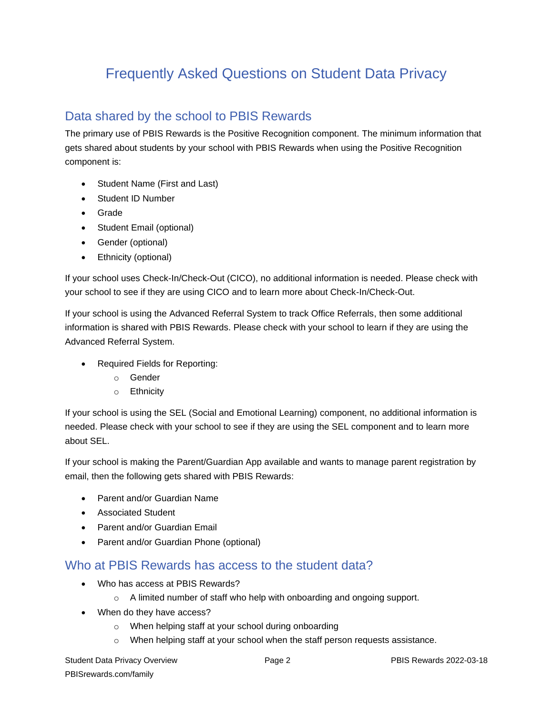## Frequently Asked Questions on Student Data Privacy

### Data shared by the school to PBIS Rewards

The primary use of PBIS Rewards is the Positive Recognition component. The minimum information that gets shared about students by your school with PBIS Rewards when using the Positive Recognition component is:

- Student Name (First and Last)
- Student ID Number
- Grade
- Student Email (optional)
- Gender (optional)
- Ethnicity (optional)

If your school uses Check-In/Check-Out (CICO), no additional information is needed. Please check with your school to see if they are using CICO and to learn more about Check-In/Check-Out.

If your school is using the Advanced Referral System to track Office Referrals, then some additional information is shared with PBIS Rewards. Please check with your school to learn if they are using the Advanced Referral System.

- Required Fields for Reporting:
	- o Gender
	- o Ethnicity

If your school is using the SEL (Social and Emotional Learning) component, no additional information is needed. Please check with your school to see if they are using the SEL component and to learn more about SEL.

If your school is making the Parent/Guardian App available and wants to manage parent registration by email, then the following gets shared with PBIS Rewards:

- Parent and/or Guardian Name
- Associated Student
- Parent and/or Guardian Email
- Parent and/or Guardian Phone (optional)

#### Who at PBIS Rewards has access to the student data?

- Who has access at PBIS Rewards?
	- o A limited number of staff who help with onboarding and ongoing support.
- When do they have access?
	- o When helping staff at your school during onboarding
	- o When helping staff at your school when the staff person requests assistance.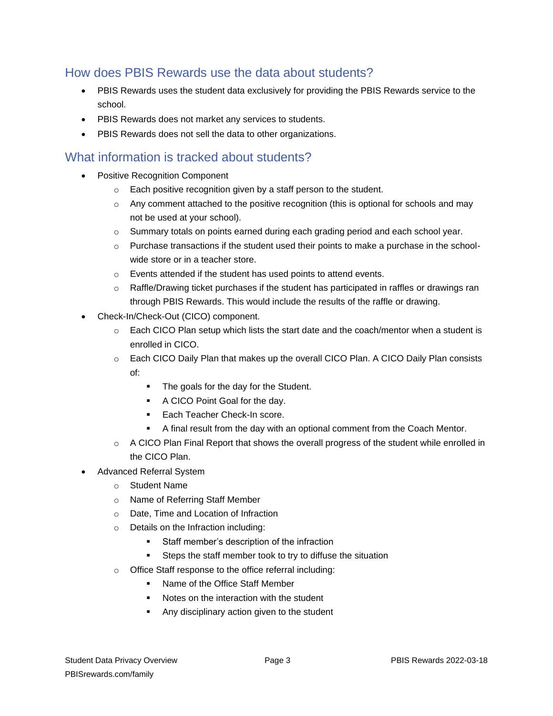#### How does PBIS Rewards use the data about students?

- PBIS Rewards uses the student data exclusively for providing the PBIS Rewards service to the school.
- PBIS Rewards does not market any services to students.
- PBIS Rewards does not sell the data to other organizations.

#### What information is tracked about students?

- Positive Recognition Component
	- o Each positive recognition given by a staff person to the student.
	- $\circ$  Any comment attached to the positive recognition (this is optional for schools and may not be used at your school).
	- $\circ$  Summary totals on points earned during each grading period and each school year.
	- $\circ$  Purchase transactions if the student used their points to make a purchase in the schoolwide store or in a teacher store.
	- o Events attended if the student has used points to attend events.
	- o Raffle/Drawing ticket purchases if the student has participated in raffles or drawings ran through PBIS Rewards. This would include the results of the raffle or drawing.
- Check-In/Check-Out (CICO) component.
	- $\circ$  Each CICO Plan setup which lists the start date and the coach/mentor when a student is enrolled in CICO.
	- $\circ$  Each CICO Daily Plan that makes up the overall CICO Plan. A CICO Daily Plan consists of:
		- The goals for the day for the Student.
		- A CICO Point Goal for the day.
		- Each Teacher Check-In score.
		- A final result from the day with an optional comment from the Coach Mentor.
	- $\circ$  A CICO Plan Final Report that shows the overall progress of the student while enrolled in the CICO Plan.
- Advanced Referral System
	- o Student Name
	- o Name of Referring Staff Member
	- o Date, Time and Location of Infraction
	- o Details on the Infraction including:
		- Staff member's description of the infraction
		- Steps the staff member took to try to diffuse the situation
	- o Office Staff response to the office referral including:
		- Name of the Office Staff Member
		- Notes on the interaction with the student
		- Any disciplinary action given to the student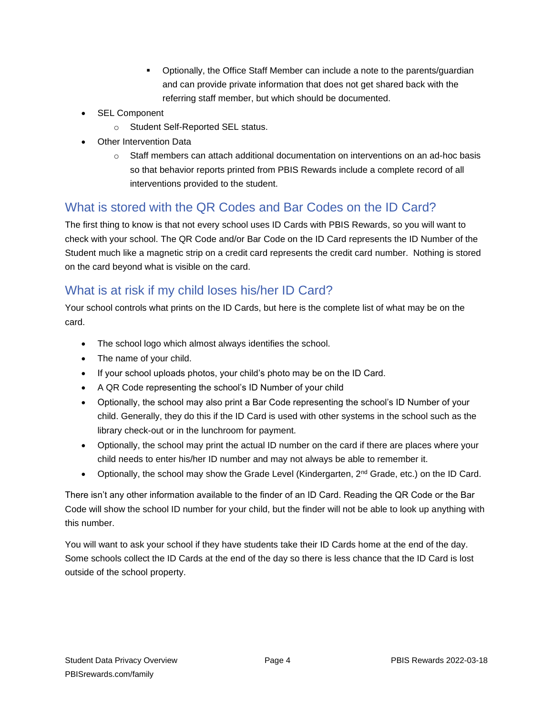- Optionally, the Office Staff Member can include a note to the parents/guardian and can provide private information that does not get shared back with the referring staff member, but which should be documented.
- SEL Component
	- o Student Self-Reported SEL status.
- Other Intervention Data
	- $\circ$  Staff members can attach additional documentation on interventions on an ad-hoc basis so that behavior reports printed from PBIS Rewards include a complete record of all interventions provided to the student.

#### What is stored with the QR Codes and Bar Codes on the ID Card?

The first thing to know is that not every school uses ID Cards with PBIS Rewards, so you will want to check with your school. The QR Code and/or Bar Code on the ID Card represents the ID Number of the Student much like a magnetic strip on a credit card represents the credit card number. Nothing is stored on the card beyond what is visible on the card.

#### What is at risk if my child loses his/her ID Card?

Your school controls what prints on the ID Cards, but here is the complete list of what may be on the card.

- The school logo which almost always identifies the school.
- The name of your child.
- If your school uploads photos, your child's photo may be on the ID Card.
- A QR Code representing the school's ID Number of your child
- Optionally, the school may also print a Bar Code representing the school's ID Number of your child. Generally, they do this if the ID Card is used with other systems in the school such as the library check-out or in the lunchroom for payment.
- Optionally, the school may print the actual ID number on the card if there are places where your child needs to enter his/her ID number and may not always be able to remember it.
- Optionally, the school may show the Grade Level (Kindergarten, 2<sup>nd</sup> Grade, etc.) on the ID Card.

There isn't any other information available to the finder of an ID Card. Reading the QR Code or the Bar Code will show the school ID number for your child, but the finder will not be able to look up anything with this number.

You will want to ask your school if they have students take their ID Cards home at the end of the day. Some schools collect the ID Cards at the end of the day so there is less chance that the ID Card is lost outside of the school property.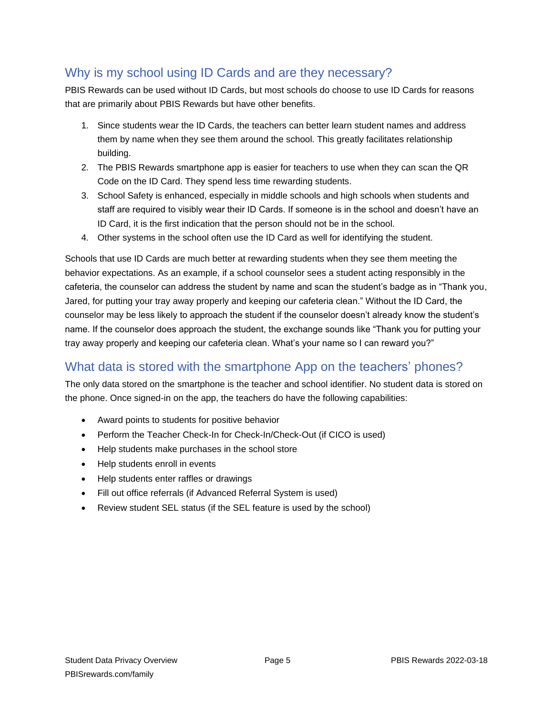## Why is my school using ID Cards and are they necessary?

PBIS Rewards can be used without ID Cards, but most schools do choose to use ID Cards for reasons that are primarily about PBIS Rewards but have other benefits.

- 1. Since students wear the ID Cards, the teachers can better learn student names and address them by name when they see them around the school. This greatly facilitates relationship building.
- 2. The PBIS Rewards smartphone app is easier for teachers to use when they can scan the QR Code on the ID Card. They spend less time rewarding students.
- 3. School Safety is enhanced, especially in middle schools and high schools when students and staff are required to visibly wear their ID Cards. If someone is in the school and doesn't have an ID Card, it is the first indication that the person should not be in the school.
- 4. Other systems in the school often use the ID Card as well for identifying the student.

Schools that use ID Cards are much better at rewarding students when they see them meeting the behavior expectations. As an example, if a school counselor sees a student acting responsibly in the cafeteria, the counselor can address the student by name and scan the student's badge as in "Thank you, Jared, for putting your tray away properly and keeping our cafeteria clean." Without the ID Card, the counselor may be less likely to approach the student if the counselor doesn't already know the student's name. If the counselor does approach the student, the exchange sounds like "Thank you for putting your tray away properly and keeping our cafeteria clean. What's your name so I can reward you?"

## What data is stored with the smartphone App on the teachers' phones?

The only data stored on the smartphone is the teacher and school identifier. No student data is stored on the phone. Once signed-in on the app, the teachers do have the following capabilities:

- Award points to students for positive behavior
- Perform the Teacher Check-In for Check-In/Check-Out (if CICO is used)
- Help students make purchases in the school store
- Help students enroll in events
- Help students enter raffles or drawings
- Fill out office referrals (if Advanced Referral System is used)
- Review student SEL status (if the SEL feature is used by the school)